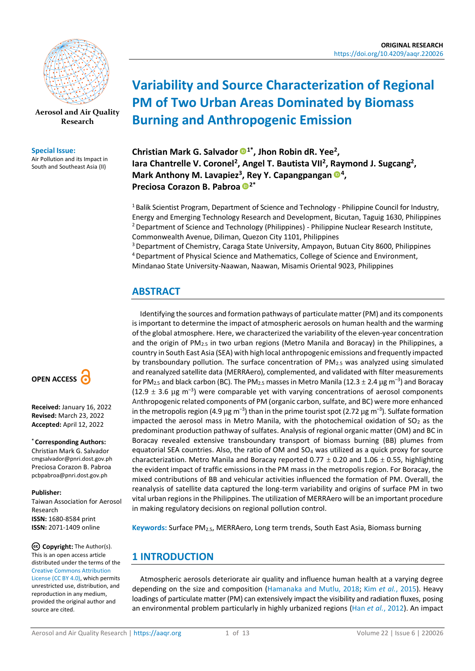

**[Aerosol and Air Quality](https://aaqr.org/)  [Research](https://aaqr.org/)**

#### **Special Issue:**

Air Pollution and its Impact in South and Southeast Asia (II)

# **OPEN ACCESS**

**Received:** January 16, 2022 **Revised:** March 23, 2022 **Accepted:** April 12, 2022

**\* Corresponding Authors:**

Christian Mark G. Salvador cmgsalvador@pnri.dost.gov.ph Preciosa Corazon B. Pabroa pcbpabroa@pnri.dost.gov.ph

#### **Publisher:**

Taiwan Association for Aerosol Research **ISSN:** 1680-8584 print **ISSN:** 2071-1409 online

**Copyright:** The Author(s). This is an open access article distributed under the terms of the [Creative Commons Attribution](https://creativecommons.org/licenses/by/4.0/)  [License \(CC BY 4.0\),](https://creativecommons.org/licenses/by/4.0/) which permits unrestricted use, distribution, and reproduction in any medium, provided the original author and source are cited.

# **Variability and Source Characterization of Regional PM of Two Urban Areas Dominated by Biomass Burning and Anthropogenic Emission**

**Christian Mark G. Salvador 1\*, Jhon Robin dR. Yee<sup>2</sup> ,**  lara Chantrelle V. Coronel<sup>2</sup>, Angel T. Bautista VII<sup>2</sup>, Raymond J. Sugcang<sup>2</sup>, **Mark Anthony M. Lavapiez<sup>3</sup>, Rey Y. Capangpangan <sup>®4</sup>, Preciosa Corazon B. Pabroa 2\***

<sup>1</sup> Balik Scientist Program, Department of Science and Technology - Philippine Council for Industry, Energy and Emerging Technology Research and Development, Bicutan, Taguig 1630, Philippines <sup>2</sup> Department of Science and Technology (Philippines) - Philippine Nuclear Research Institute, Commonwealth Avenue, Diliman, Quezon City 1101, Philippines

<sup>3</sup> Department of Chemistry, Caraga State University, Ampayon, Butuan City 8600, Philippines <sup>4</sup>Department of Physical Science and Mathematics, College of Science and Environment, Mindanao State University-Naawan, Naawan, Misamis Oriental 9023, Philippines

# **ABSTRACT**

Identifying the sources and formation pathways of particulate matter (PM) and its components is important to determine the impact of atmospheric aerosols on human health and the warming of the global atmosphere. Here, we characterized the variability of the eleven-year concentration and the origin of PM<sub>2.5</sub> in two urban regions (Metro Manila and Boracay) in the Philippines, a country in South East Asia (SEA) with high local anthropogenic emissions and frequently impacted by transboundary pollution. The surface concentration of  $PM_{2.5}$  was analyzed using simulated and reanalyzed satellite data (MERRAero), complemented, and validated with filter measurements for PM<sub>2.5</sub> and black carbon (BC). The PM<sub>2.5</sub> masses in Metro Manila (12.3  $\pm$  2.4  $\mu$ g m<sup>–3</sup>) and Boracay (12.9  $\pm$  3.6 µg m<sup>-3</sup>) were comparable yet with varying concentrations of aerosol components Anthropogenic related components of PM (organic carbon, sulfate, and BC) were more enhanced in the metropolis region (4.9 µg m<sup>–3</sup>) than in the prime tourist spot (2.72 µg m<sup>–3</sup>). Sulfate formation impacted the aerosol mass in Metro Manila, with the photochemical oxidation of  $SO<sub>2</sub>$  as the predominant production pathway of sulfates. Analysis of regional organic matter (OM) and BC in Boracay revealed extensive transboundary transport of biomass burning (BB) plumes from equatorial SEA countries. Also, the ratio of OM and SO<sup>4</sup> was utilized as a quick proxy for source characterization. Metro Manila and Boracay reported 0.77  $\pm$  0.20 and 1.06  $\pm$  0.55, highlighting the evident impact of traffic emissions in the PM mass in the metropolis region. For Boracay, the mixed contributions of BB and vehicular activities influenced the formation of PM. Overall, the reanalysis of satellite data captured the long-term variability and origins of surface PM in two vital urban regions in the Philippines. The utilization of MERRAero will be an important procedure in making regulatory decisions on regional pollution control.

**Keywords:** Surface PM2.5, MERRAero, Long term trends, South East Asia, Biomass burning

# **1 INTRODUCTION**

Atmospheric aerosols deteriorate air quality and influence human health at a varying degree depending on the size and composition [\(Hamanaka and Mutlu, 2018;](#page-10-0) Kim *et al.*[, 2015\)](#page-10-1). Heavy loadings of particulate matter (PM) can extensively impact the visibility and radiation fluxes, posing an environmental problem particularly in highly urbanized regions (Han *et al.*[, 2012\)](#page-10-2). An impact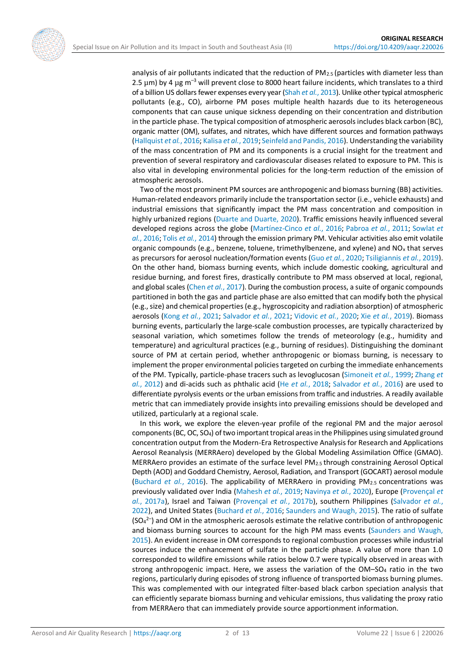analysis of air pollutants indicated that the reduction of  $PM_{2.5}$  (particles with diameter less than 2.5  $\mu$ m) by 4  $\mu$ g m<sup>-3</sup> will prevent close to 8000 heart failure incidents, which translates to a third of a billion US dollars fewer expenses every year (Shah *et al.*[, 2013\)](#page-12-0). Unlike other typical atmospheric pollutants (e.g., CO), airborne PM poses multiple health hazards due to its heterogeneous components that can cause unique sickness depending on their concentration and distribution in the particle phase. The typical composition of atmospheric aerosols includes black carbon (BC), organic matter (OM), sulfates, and nitrates, which have different sources and formation pathways [\(Hallquist](#page-10-3) *et al.*, 2016; [Kalisa](#page-10-4) *et al.*, 2019[; Seinfeld and Pandis, 2016\)](#page-11-0). Understanding the variability of the mass concentration of PM and its components is a crucial insight for the treatment and prevention of several respiratory and cardiovascular diseases related to exposure to PM. This is also vital in developing environmental policies for the long-term reduction of the emission of atmospheric aerosols.

Two of the most prominent PM sources are anthropogenic and biomass burning (BB) activities. Human-related endeavors primarily include the transportation sector (i.e., vehicle exhausts) and industrial emissions that significantly impact the PM mass concentration and composition in highly urbanized regions [\(Duarte and Duarte, 2020\)](#page-10-5). Traffic emissions heavily influenced several developed regions across the globe [\(Martínez-Cinco](#page-11-1) *et al.*, 2016; [Pabroa](#page-11-2) *et al.*, 2011; [Sowlat](#page-12-1) *et al.*[, 2016;](#page-12-1) Tolis *et al.*[, 2014\)](#page-12-2) through the emission primary PM. Vehicular activities also emit volatile organic compounds (e.g., benzene, toluene, trimethylbenzene, and xylene) and NO<sup>x</sup> that serves as precursors for aerosol nucleation/formation events (Guo *et al.*[, 2020;](#page-10-6) [Tsiligiannis](#page-12-3) *et al.*, 2019). On the other hand, biomass burning events, which include domestic cooking, agricultural and residue burning, and forest fires, drastically contribute to PM mass observed at local, regional, and global scales (Chen *et al.*[, 2017\)](#page-10-7). During the combustion process, a suite of organic compounds partitioned in both the gas and particle phase are also emitted that can modify both the physical (e.g., size) and chemical properties (e.g., hygroscopicity and radiation absorption) of atmospheric aerosols (Kong *et al.*[, 2021;](#page-10-8) [Salvador](#page-11-3) *et al.*, 2021; [Vidovic](#page-12-4) *et al.*, 2020; Xie *et al.*[, 2019\)](#page-12-5). Biomass burning events, particularly the large-scale combustion processes, are typically characterized by seasonal variation, which sometimes follow the trends of meteorology (e.g., humidity and temperature) and agricultural practices (e.g., burning of residues). Distinguishing the dominant source of PM at certain period, whether anthropogenic or biomass burning, is necessary to implement the proper environmental policies targeted on curbing the immediate enhancements of the PM. Typically, particle-phase tracers such as levoglucosan [\(Simoneit](#page-12-6) *et al.*, 1999[; Zhang](#page-12-7) *et al.*[, 2012\)](#page-12-7) and di-acids such as phthalic acid (He *et al.*[, 2018;](#page-10-9) [Salvador](#page-11-4) *et al.*, 2016) are used to differentiate pyrolysis events or the urban emissions from traffic and industries. A readily available metric that can immediately provide insights into prevailing emissions should be developed and utilized, particularly at a regional scale.

In this work, we explore the eleven-year profile of the regional PM and the major aerosol components (BC, OC, SO4) of two important tropical areas in the Philippines using simulated ground concentration output from the Modern-Era Retrospective Analysis for Research and Applications Aerosol Reanalysis (MERRAero) developed by the Global Modeling Assimilation Office (GMAO). MERRAero provides an estimate of the surface level PM2.5 through constraining Aerosol Optical Depth (AOD) and Goddard Chemistry, Aerosol, Radiation, and Transport (GOCART) aerosol module [\(Buchard](#page-10-10) *et al.*, 2016). The applicability of MERRAero in providing PM2.5 concentrations was previously validated over India [\(Mahesh](#page-11-5) *et al.*, 2019; [Navinya](#page-11-6) *et al.*, 2020), Europe [\(Provençal](#page-11-7) *et al.*[, 2017a\)](#page-11-7), Israel and Taiwan [\(Provençal](#page-11-8) *et al.*, 2017b), southern Philippines [\(Salvador](#page-11-9) *et al.*, [2022\)](#page-11-9), and United States [\(Buchard](#page-10-10) *et al.*, 2016[; Saunders and Waugh, 2015\)](#page-11-10). The ratio of sulfate  $(SO<sub>4</sub><sup>2–</sup>)$  and OM in the atmospheric aerosols estimate the relative contribution of anthropogenic and biomass burning sources to account for the high PM mass events [\(Saunders and Waugh,](#page-11-10)  [2015\)](#page-11-10). An evident increase in OM corresponds to regional combustion processes while industrial sources induce the enhancement of sulfate in the particle phase. A value of more than 1.0 corresponded to wildfire emissions while ratios below 0.7 were typically observed in areas with strong anthropogenic impact. Here, we assess the variation of the  $OM-SO<sub>4</sub>$  ratio in the two regions, particularly during episodes of strong influence of transported biomass burning plumes. This was complemented with our integrated filter-based black carbon speciation analysis that can efficiently separate biomass burning and vehicular emissions, thus validating the proxy ratio from MERRAero that can immediately provide source apportionment information.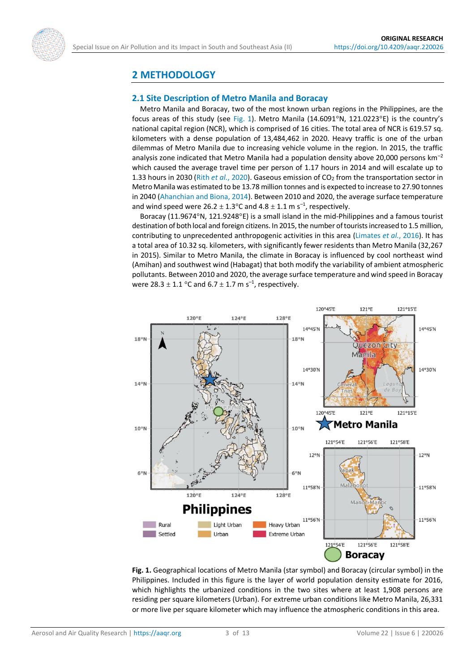

# **2 METHODOLOGY**

#### **2.1 Site Description of Metro Manila and Boracay**

Metro Manila and Boracay, two of the most known urban regions in the Philippines, are the focus areas of this study (see [Fig. 1\)](#page-2-0). Metro Manila (14.6091°N, 121.0223°E) is the country's national capital region (NCR), which is comprised of 16 cities. The total area of NCR is 619.57 sq. kilometers with a dense population of 13,484,462 in 2020. Heavy traffic is one of the urban dilemmas of Metro Manila due to increasing vehicle volume in the region. In 2015, the traffic analysis zone indicated that Metro Manila had a population density above 20,000 persons  $km^{-2}$ which caused the average travel time per person of 1.17 hours in 2014 and will escalate up to 1.33 hours in 2030 (Rith *et al.*[, 2020\)](#page-11-11). Gaseous emission of CO<sup>2</sup> from the transportation sector in Metro Manila was estimated to be 13.78 million tonnes and is expected to increase to 27.90 tonnes in 2040 [\(Ahanchian and Biona, 2014\)](#page-9-0). Between 2010 and 2020, the average surface temperature and wind speed were 26.2  $\pm$  1.3°C and 4.8  $\pm$  1.1 m s<sup>-1</sup>, respectively.

Boracay (11.9674°N, 121.9248°E) is a small island in the mid-Philippines and a famous tourist destination of both local and foreign citizens. In 2015, the number of tourists increased to 1.5 million, contributing to unprecedented anthropogenic activities in this area [\(Limates](#page-10-11) *et al.*, 2016). It has a total area of 10.32 sq. kilometers, with significantly fewer residents than Metro Manila (32,267 in 2015). Similar to Metro Manila, the climate in Boracay is influenced by cool northeast wind (Amihan) and southwest wind (Habagat) that both modify the variability of ambient atmospheric pollutants. Between 2010 and 2020, the average surface temperature and wind speed in Boracay were 28.3  $\pm$  1.1 °C and 6.7  $\pm$  1.7 m s<sup>-1</sup>, respectively.

<span id="page-2-0"></span>

**Fig. 1.** Geographical locations of Metro Manila (star symbol) and Boracay (circular symbol) in the Philippines. Included in this figure is the layer of world population density estimate for 2016, which highlights the urbanized conditions in the two sites where at least 1,908 persons are residing per square kilometers (Urban). For extreme urban conditions like Metro Manila, 26,331 or more live per square kilometer which may influence the atmospheric conditions in this area.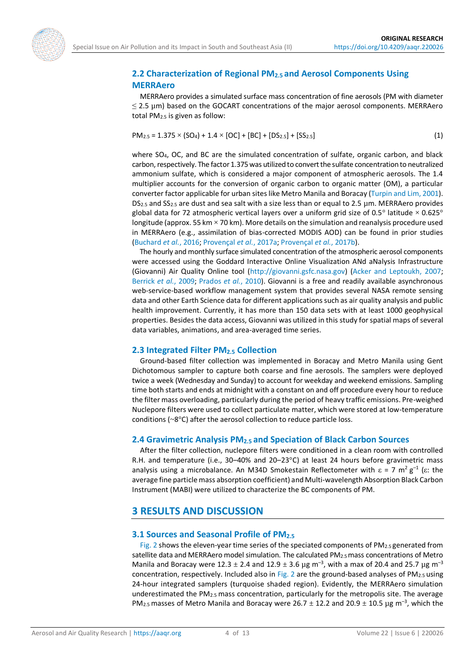

## **2.2 Characterization of Regional PM2.5 and Aerosol Components Using MERRAero**

MERRAero provides a simulated surface mass concentration of fine aerosols (PM with diameter  $\leq$  2.5  $\mu$ m) based on the GOCART concentrations of the major aerosol components. MERRAero total PM2.5 is given as follow:

<span id="page-3-0"></span>
$$
PM_{2.5} = 1.375 \times (SO_4) + 1.4 \times [OC] + [BC] + [DS_{2.5}] + [SS_{2.5}]
$$
\n(1)

where SO<sub>4</sub>, OC, and BC are the simulated concentration of sulfate, organic carbon, and black carbon, respectively. The factor 1.375 was utilized to convert the sulfate concentration to neutralized ammonium sulfate, which is considered a major component of atmospheric aerosols. The 1.4 multiplier accounts for the conversion of organic carbon to organic matter (OM), a particular converter factor applicable for urban sites like Metro Manila and Boracay [\(Turpin and Lim, 2001\)](#page-12-8). DS2.5 and SS2.5 are dust and sea salt with a size less than or equal to 2.5 µm. MERRAero provides global data for 72 atmospheric vertical layers over a uniform grid size of 0.5° latitude  $\times$  0.625° longitude (approx. 55 km  $\times$  70 km). More details on the simulation and reanalysis procedure used in MERRAero (e.g., assimilation of bias-corrected MODIS AOD) can be found in prior studies [\(Buchard](#page-10-10) *et al.*, 2016; [Provençal](#page-11-7) *et al.*, 2017a; Provençal *et al.*[, 2017b\)](#page-11-8).

The hourly and monthly surface simulated concentration of the atmospheric aerosol components were accessed using the Goddard Interactive Online Visualization ANd aNalysis Infrastructure (Giovanni) Air Quality Online tool [\(http://giovanni.gsfc.nasa.gov\)](http://giovanni.gsfc.nasa.gov/) [\(Acker and Leptoukh, 2007;](#page-9-1) [Berrick](#page-10-12) *et al.*, 2009; [Prados](#page-11-12) *et al.*, 2010). Giovanni is a free and readily available asynchronous web-service-based workflow management system that provides several NASA remote sensing data and other Earth Science data for different applications such as air quality analysis and public health improvement. Currently, it has more than 150 data sets with at least 1000 geophysical properties. Besides the data access, Giovanni was utilized in this study for spatial maps of several data variables, animations, and area-averaged time series.

#### **2.3 Integrated Filter PM2.5 Collection**

Ground-based filter collection was implemented in Boracay and Metro Manila using Gent Dichotomous sampler to capture both coarse and fine aerosols. The samplers were deployed twice a week (Wednesday and Sunday) to account for weekday and weekend emissions. Sampling time both starts and ends at midnight with a constant on and off procedure every hour to reduce the filter mass overloading, particularly during the period of heavy traffic emissions. Pre-weighed Nuclepore filters were used to collect particulate matter, which were stored at low-temperature conditions (~8°C) after the aerosol collection to reduce particle loss.

### **2.4 Gravimetric Analysis PM2.5 and Speciation of Black Carbon Sources**

After the filter collection, nuclepore filters were conditioned in a clean room with controlled R.H. and temperature (i.e., 30–40% and 20–23 $^{\circ}$ C) at least 24 hours before gravimetric mass analysis using a microbalance. An M34D Smokestain Reflectometer with  $\varepsilon$  = 7 m<sup>2</sup> g<sup>-1</sup> ( $\varepsilon$ : the average fine particle mass absorption coefficient) and Multi-wavelength Absorption Black Carbon Instrument (MABI) were utilized to characterize the BC components of PM.

# **3 RESULTS AND DISCUSSION**

#### **3.1 Sources and Seasonal Profile of PM2.5**

[Fig. 2 s](#page-4-0)hows the eleven-year time series of the speciated components of  $PM_{2.5}$  generated from satellite data and MERRAero model simulation. The calculated PM2.5 mass concentrations of Metro Manila and Boracay were 12.3  $\pm$  2.4 and 12.9  $\pm$  3.6 µg m<sup>-3</sup>, with a max of 20.4 and 25.7 µg m<sup>-3</sup> concentration, respectively. Included also in [Fig. 2](#page-4-0) are the ground-based analyses of  $PM_{2.5}$  using 24-hour integrated samplers (turquoise shaded region). Evidently, the MERRAero simulation underestimated the PM2.5 mass concentration, particularly for the metropolis site. The average PM<sub>2.5</sub> masses of Metro Manila and Boracay were 26.7  $\pm$  12.2 and 20.9  $\pm$  10.5 µg m<sup>-3</sup>, which the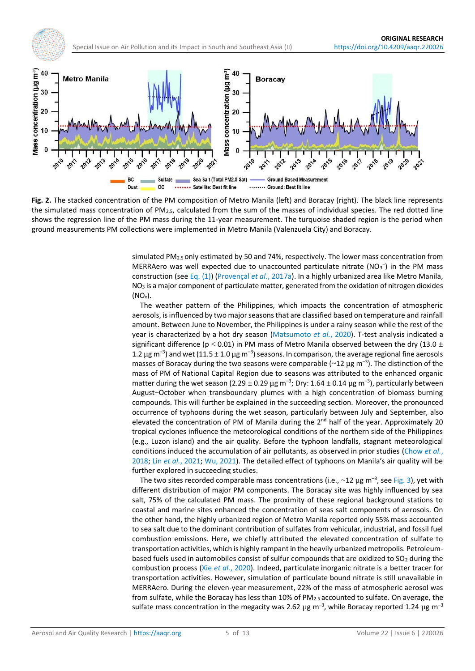<span id="page-4-0"></span>

**Fig. 2.** The stacked concentration of the PM composition of Metro Manila (left) and Boracay (right). The black line represents the simulated mass concentration of  $PM_{2.5}$ , calculated from the sum of the masses of individual species. The red dotted line shows the regression line of the PM mass during the 11-year measurement. The turquoise shaded region is the period when ground measurements PM collections were implemented in Metro Manila (Valenzuela City) and Boracay.

simulated PM2.5 only estimated by 50 and 74%, respectively. The lower mass concentration from MERRAero was well expected due to unaccounted particulate nitrate ( $NO<sub>3</sub>^-$ ) in the PM mass construction (see [Eq.](#page-3-0) (1)) [\(Provençal](#page-11-7) *et al.*, 2017a). In a highly urbanized area like Metro Manila,  $NO<sub>3</sub>$  is a major component of particulate matter, generated from the oxidation of nitrogen dioxides (NO*x*).

The weather pattern of the Philippines, which impacts the concentration of atmospheric aerosols, is influenced by two major seasons that are classified based on temperature and rainfall amount. Between June to November, the Philippines is under a rainy season while the rest of the year is characterized by a hot dry season [\(Matsumoto](#page-11-13) *et al.*, 2020). T-test analysis indicated a significant difference (p < 0.01) in PM mass of Metro Manila observed between the dry (13.0  $\pm$ 1.2  $\mu$ g m<sup>-3</sup>) and wet (11.5  $\pm$  1.0  $\mu$ g m<sup>-3</sup>) seasons. In comparison, the average regional fine aerosols masses of Boracay during the two seasons were comparable ( $\sim$ 12  $\mu$ g m<sup>-3</sup>). The distinction of the mass of PM of National Capital Region due to seasons was attributed to the enhanced organic matter during the wet season (2.29  $\pm$  0.29  $\mu$ g m<sup>-3</sup>; Dry: 1.64  $\pm$  0.14  $\mu$ g m<sup>-3</sup>), particularly between August–October when transboundary plumes with a high concentration of biomass burning compounds. This will further be explained in the succeeding section. Moreover, the pronounced occurrence of typhoons during the wet season, particularly between July and September, also elevated the concentration of PM of Manila during the  $2<sup>nd</sup>$  half of the year. Approximately 20 tropical cyclones influence the meteorological conditions of the northern side of the Philippines (e.g., Luzon island) and the air quality. Before the typhoon landfalls, stagnant meteorological conditions induced the accumulation of air pollutants, as observed in prior studies [\(Chow](#page-10-13) *et al.*, [2018;](#page-10-13) Lin *et al.*[, 2021;](#page-10-14) [Wu, 2021\)](#page-12-9). The detailed effect of typhoons on Manila's air quality will be further explored in succeeding studies.

The two sites recorded comparable mass concentrations (i.e.,  $\sim$ 12 µg m<sup>-3</sup>, se[e Fig. 3\)](#page-5-0), yet with different distribution of major PM components. The Boracay site was highly influenced by sea salt, 75% of the calculated PM mass. The proximity of these regional background stations to coastal and marine sites enhanced the concentration of seas salt components of aerosols. On the other hand, the highly urbanized region of Metro Manila reported only 55% mass accounted to sea salt due to the dominant contribution of sulfates from vehicular, industrial, and fossil fuel combustion emissions. Here, we chiefly attributed the elevated concentration of sulfate to transportation activities, which is highly rampant in the heavily urbanized metropolis. Petroleumbased fuels used in automobiles consist of sulfur compounds that are oxidized to SO<sub>2</sub> during the combustion process (Xie *et al.*[, 2020\)](#page-12-10). Indeed, particulate inorganic nitrate is a better tracer for transportation activities. However, simulation of particulate bound nitrate is still unavailable in MERRAero. During the eleven-year measurement, 22% of the mass of atmospheric aerosol was from sulfate, while the Boracay has less than 10% of PM<sub>2.5</sub> accounted to sulfate. On average, the sulfate mass concentration in the megacity was 2.62  $\mu$ g m<sup>-3</sup>, while Boracay reported 1.24  $\mu$ g m<sup>-3</sup>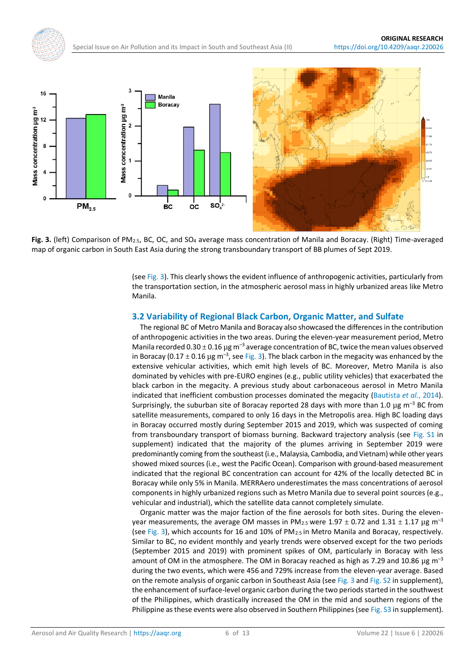<span id="page-5-0"></span>



Fig. 3. (left) Comparison of PM<sub>2.5</sub>, BC, OC, and SO<sub>4</sub> average mass concentration of Manila and Boracay. (Right) Time-averaged map of organic carbon in South East Asia during the strong transboundary transport of BB plumes of Sept 2019.

(se[e Fig. 3\)](#page-5-0). This clearly shows the evident influence of anthropogenic activities, particularly from the transportation section, in the atmospheric aerosol mass in highly urbanized areas like Metro Manila.

#### **3.2 Variability of Regional Black Carbon, Organic Matter, and Sulfate**

The regional BC of Metro Manila and Boracay also showcased the differences in the contribution of anthropogenic activities in the two areas. During the eleven-year measurement period, Metro Manila recorded 0.30  $\pm$  0.16 µg m<sup>-3</sup> average concentration of BC, twice the mean values observed in Boracay (0.17  $\pm$  0.16 µg m<sup>-3</sup>, se[e Fig. 3\)](#page-5-0). The black carbon in the megacity was enhanced by the extensive vehicular activities, which emit high levels of BC. Moreover, Metro Manila is also dominated by vehicles with pre-EURO engines (e.g., public utility vehicles) that exacerbated the black carbon in the megacity. A previous study about carbonaceous aerosol in Metro Manila indicated that inefficient combustion processes dominated the megacity [\(Bautista](#page-10-15) *et al.*, 2014). Surprisingly, the suburban site of Boracay reported 28 days with more than 1.0  $\mu$ g m<sup>-3</sup> BC from satellite measurements, compared to only 16 days in the Metropolis area. High BC loading days in Boracay occurred mostly during September 2015 and 2019, which was suspected of coming from transboundary transport of biomass burning. Backward trajectory analysis (see [Fig. S1](https://doi.org/10.4209/aaqr.220026) in supplement) indicated that the majority of the plumes arriving in September 2019 were predominantly coming from the southeast (i.e., Malaysia, Cambodia, and Vietnam) while other years showed mixed sources (i.e., west the Pacific Ocean). Comparison with ground-based measurement indicated that the regional BC concentration can account for 42% of the locally detected BC in Boracay while only 5% in Manila. MERRAero underestimates the mass concentrations of aerosol components in highly urbanized regions such as Metro Manila due to several point sources (e.g., vehicular and industrial), which the satellite data cannot completely simulate.

Organic matter was the major faction of the fine aerosols for both sites. During the elevenyear measurements, the average OM masses in PM<sub>2.5</sub> were 1.97  $\pm$  0.72 and 1.31  $\pm$  1.17  $\mu$ g m<sup>-3</sup> (see [Fig. 3\)](#page-5-0), which accounts for 16 and 10% of PM2.5 in Metro Manila and Boracay, respectively. Similar to BC, no evident monthly and yearly trends were observed except for the two periods (September 2015 and 2019) with prominent spikes of OM, particularly in Boracay with less amount of OM in the atmosphere. The OM in Boracay reached as high as 7.29 and 10.86  $\mu$ g m<sup>-3</sup> during the two events, which were 456 and 729% increase from the eleven-year average. Based on the remote analysis of organic carbon in Southeast Asia (se[e Fig. 3](#page-5-0) and [Fig. S2](https://doi.org/10.4209/aaqr.220026) in supplement), the enhancement of surface-level organic carbon during the two periods started in the southwest of the Philippines, which drastically increased the OM in the mid and southern regions of the Philippine as these events were also observed in Southern Philippines (see [Fig. S3](https://doi.org/10.4209/aaqr.220026) in supplement).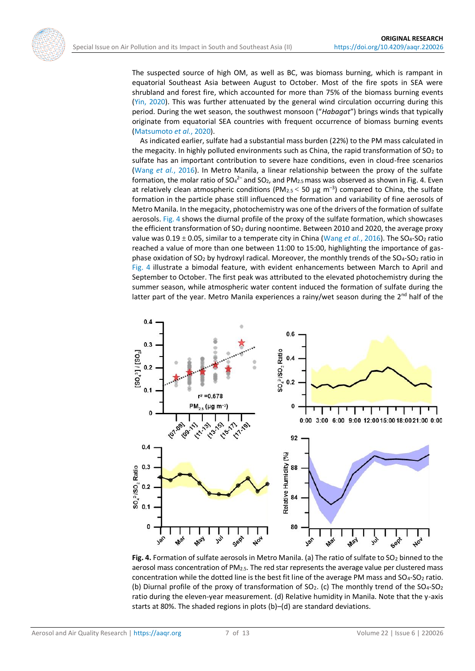The suspected source of high OM, as well as BC, was biomass burning, which is rampant in equatorial Southeast Asia between August to October. Most of the fire spots in SEA were shrubland and forest fire, which accounted for more than 75% of the biomass burning events [\(Yin, 2020\)](#page-12-11). This was further attenuated by the general wind circulation occurring during this period. During the wet season, the southwest monsoon ("*Habagat*") brings winds that typically originate from equatorial SEA countries with frequent occurrence of biomass burning events [\(Matsumoto](#page-11-13) *et al.*, 2020).

As indicated earlier, sulfate had a substantial mass burden (22%) to the PM mass calculated in the megacity. In highly polluted environments such as China, the rapid transformation of  $SO_2$  to sulfate has an important contribution to severe haze conditions, even in cloud-free scenarios (Wang *et al.*[, 2016\)](#page-12-12). In Metro Manila, a linear relationship between the proxy of the sulfate formation, the molar ratio of SO<sub>4</sub><sup>2-</sup> and SO<sub>2</sub>, and PM<sub>2.5</sub> mass was observed as shown in Fig. 4. Even at relatively clean atmospheric conditions (PM<sub>2.5</sub>  $<$  50  $\mu$ g m<sup>-3</sup>) compared to China, the sulfate formation in the particle phase still influenced the formation and variability of fine aerosols of Metro Manila. In the megacity, photochemistry was one of the drivers of the formation of sulfate aerosols[. Fig. 4](#page-6-0) shows the diurnal profile of the proxy of the sulfate formation, which showcases the efficient transformation of SO<sup>2</sup> during noontime. Between 2010 and 2020, the average proxy value was 0.19  $\pm$  0.05, similar to a temperate city in China [\(Wang](#page-12-12) *et al.*, 2016). The SO<sub>4</sub>-SO<sub>2</sub> ratio reached a value of more than one between 11:00 to 15:00, highlighting the importance of gasphase oxidation of SO<sub>2</sub> by hydroxyl radical. Moreover, the monthly trends of the SO<sub>4</sub>-SO<sub>2</sub> ratio in [Fig. 4](#page-6-0) illustrate a bimodal feature, with evident enhancements between March to April and September to October. The first peak was attributed to the elevated photochemistry during the summer season, while atmospheric water content induced the formation of sulfate during the latter part of the year. Metro Manila experiences a rainy/wet season during the 2<sup>nd</sup> half of the

<span id="page-6-0"></span>

**Fig. 4.** Formation of sulfate aerosols in Metro Manila. (a) The ratio of sulfate to SO<sub>2</sub> binned to the aerosol mass concentration of PM2.5. The red star represents the average value per clustered mass concentration while the dotted line is the best fit line of the average PM mass and SO<sub>4</sub>-SO<sub>2</sub> ratio. (b) Diurnal profile of the proxy of transformation of SO<sub>2</sub>. (c) The monthly trend of the SO<sub>4</sub>-SO<sub>2</sub> ratio during the eleven-year measurement. (d) Relative humidity in Manila. Note that the y-axis starts at 80%. The shaded regions in plots (b)–(d) are standard deviations.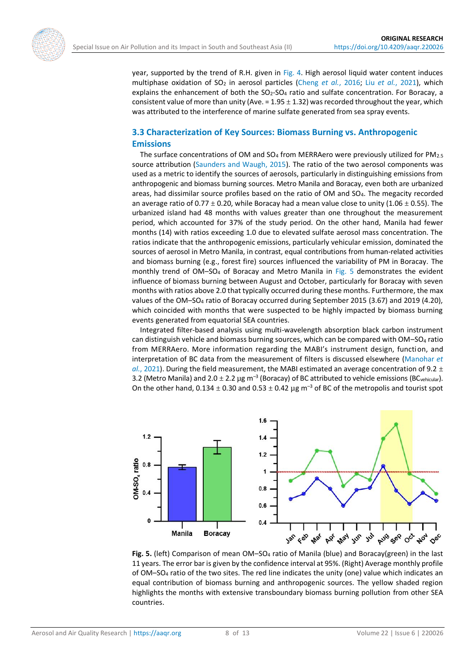year, supported by the trend of R.H. given in [Fig. 4.](#page-6-0) High aerosol liquid water content induces multiphase oxidation of SO<sup>2</sup> in aerosol particles [\(Cheng](#page-10-16) *et al.*, 2016; Liu *et al.*[, 2021\)](#page-11-14), which explains the enhancement of both the  $SO<sub>2</sub>-SO<sub>4</sub>$  ratio and sulfate concentration. For Boracay, a consistent value of more than unity (Ave. =  $1.95 \pm 1.32$ ) was recorded throughout the year, which was attributed to the interference of marine sulfate generated from sea spray events.

### **3.3 Characterization of Key Sources: Biomass Burning vs. Anthropogenic Emissions**

The surface concentrations of OM and  $SO_4$  from MERRAero were previously utilized for PM<sub>2.5</sub> source attribution [\(Saunders and Waugh, 2015\)](#page-11-10). The ratio of the two aerosol components was used as a metric to identify the sources of aerosols, particularly in distinguishing emissions from anthropogenic and biomass burning sources. Metro Manila and Boracay, even both are urbanized areas, had dissimilar source profiles based on the ratio of OM and SO4. The megacity recorded an average ratio of  $0.77 \pm 0.20$ , while Boracay had a mean value close to unity (1.06  $\pm$  0.55). The urbanized island had 48 months with values greater than one throughout the measurement period, which accounted for 37% of the study period. On the other hand, Manila had fewer months (14) with ratios exceeding 1.0 due to elevated sulfate aerosol mass concentration. The ratios indicate that the anthropogenic emissions, particularly vehicular emission, dominated the sources of aerosol in Metro Manila, in contrast, equal contributions from human-related activities and biomass burning (e.g., forest fire) sources influenced the variability of PM in Boracay. The monthly trend of OM–SO<sup>4</sup> of Boracay and Metro Manila in [Fig. 5](#page-7-0) demonstrates the evident influence of biomass burning between August and October, particularly for Boracay with seven months with ratios above 2.0 that typically occurred during these months. Furthermore, the max values of the OM–SO<sup>4</sup> ratio of Boracay occurred during September 2015 (3.67) and 2019 (4.20), which coincided with months that were suspected to be highly impacted by biomass burning events generated from equatorial SEA countries.

Integrated filter-based analysis using multi-wavelength absorption black carbon instrument can distinguish vehicle and biomass burning sources, which can be compared with  $OM-SO<sub>4</sub>$  ratio from MERRAero. More information regarding the MABI's instrument design, function, and interpretation of BC data from the measurement of filters is discussed elsewhere [\(Manohar](#page-11-15) *et al.*[, 2021\)](#page-11-15). During the field measurement, the MABI estimated an average concentration of 9.2  $\pm$ 3.2 (Metro Manila) and 2.0  $\pm$  2.2 µg m<sup>-3</sup> (Boracay) of BC attributed to vehicle emissions (BC<sub>vehicular</sub>). On the other hand,  $0.134 \pm 0.30$  and  $0.53 \pm 0.42$   $\mu$ g m<sup>-3</sup> of BC of the metropolis and tourist spot

<span id="page-7-0"></span>

**Fig. 5.** (left) Comparison of mean OM–SO<sup>4</sup> ratio of Manila (blue) and Boracay(green) in the last 11 years. The error bar is given by the confidence interval at 95%. (Right) Average monthly profile of OM–SO<sup>4</sup> ratio of the two sites. The red line indicates the unity (one) value which indicates an equal contribution of biomass burning and anthropogenic sources. The yellow shaded region highlights the months with extensive transboundary biomass burning pollution from other SEA countries.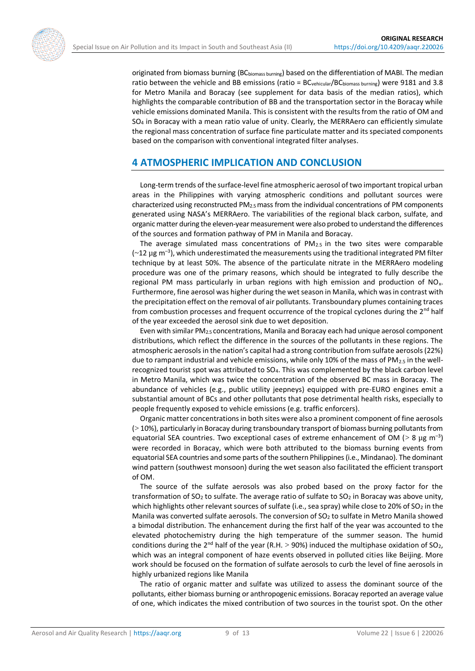originated from biomass burning (BCbiomass burning) based on the differentiation of MABI. The median ratio between the vehicle and BB emissions (ratio = BCvehicular/BCbiomass burning) were 9181 and 3.8 for Metro Manila and Boracay (see supplement for data basis of the median ratios), which highlights the comparable contribution of BB and the transportation sector in the Boracay while vehicle emissions dominated Manila. This is consistent with the results from the ratio of OM and SO<sup>4</sup> in Boracay with a mean ratio value of unity. Clearly, the MERRAero can efficiently simulate the regional mass concentration of surface fine particulate matter and its speciated components based on the comparison with conventional integrated filter analyses.

# **4 ATMOSPHERIC IMPLICATION AND CONCLUSION**

Long-term trends of the surface-level fine atmospheric aerosol of two important tropical urban areas in the Philippines with varying atmospheric conditions and pollutant sources were characterized using reconstructed PM2.5 mass from the individual concentrations of PM components generated using NASA's MERRAero. The variabilities of the regional black carbon, sulfate, and organic matter during the eleven-year measurement were also probed to understand the differences of the sources and formation pathway of PM in Manila and Boracay.

The average simulated mass concentrations of  $PM_{2.5}$  in the two sites were comparable  $({\sim}12 \ \mu g \ \text{m}^{-3})$ , which underestimated the measurements using the traditional integrated PM filter technique by at least 50%. The absence of the particulate nitrate in the MERRAero modeling procedure was one of the primary reasons, which should be integrated to fully describe the regional PM mass particularly in urban regions with high emission and production of  $NO<sub>x</sub>$ . Furthermore, fine aerosol was higher during the wet season in Manila, which was in contrast with the precipitation effect on the removal of air pollutants. Transboundary plumes containing traces from combustion processes and frequent occurrence of the tropical cyclones during the 2<sup>nd</sup> half of the year exceeded the aerosol sink due to wet deposition.

Even with similar PM2.5 concentrations, Manila and Boracay each had unique aerosol component distributions, which reflect the difference in the sources of the pollutants in these regions. The atmospheric aerosols in the nation's capital had a strong contribution from sulfate aerosols (22%) due to rampant industrial and vehicle emissions, while only 10% of the mass of PM<sub>2.5</sub> in the wellrecognized tourist spot was attributed to SO4. This was complemented by the black carbon level in Metro Manila, which was twice the concentration of the observed BC mass in Boracay. The abundance of vehicles (e.g., public utility jeepneys) equipped with pre-EURO engines emit a substantial amount of BCs and other pollutants that pose detrimental health risks, especially to people frequently exposed to vehicle emissions (e.g. traffic enforcers).

Organic matter concentrations in both sites were also a prominent component of fine aerosols (> 10%), particularly in Boracay during transboundary transport of biomass burning pollutants from equatorial SEA countries. Two exceptional cases of extreme enhancement of OM ( $> 8 \mu g m^{-3}$ ) were recorded in Boracay, which were both attributed to the biomass burning events from equatorial SEA countries and some parts of the southern Philippines (i.e., Mindanao). The dominant wind pattern (southwest monsoon) during the wet season also facilitated the efficient transport of OM.

The source of the sulfate aerosols was also probed based on the proxy factor for the transformation of  $SO_2$  to sulfate. The average ratio of sulfate to  $SO_2$  in Boracay was above unity, which highlights other relevant sources of sulfate (i.e., sea spray) while close to 20% of SO<sub>2</sub> in the Manila was converted sulfate aerosols. The conversion of  $SO<sub>2</sub>$  to sulfate in Metro Manila showed a bimodal distribution. The enhancement during the first half of the year was accounted to the elevated photochemistry during the high temperature of the summer season. The humid conditions during the  $2^{nd}$  half of the year (R.H.  $>$  90%) induced the multiphase oxidation of SO<sub>2</sub>, which was an integral component of haze events observed in polluted cities like Beijing. More work should be focused on the formation of sulfate aerosols to curb the level of fine aerosols in highly urbanized regions like Manila

The ratio of organic matter and sulfate was utilized to assess the dominant source of the pollutants, either biomass burning or anthropogenic emissions. Boracay reported an average value of one, which indicates the mixed contribution of two sources in the tourist spot. On the other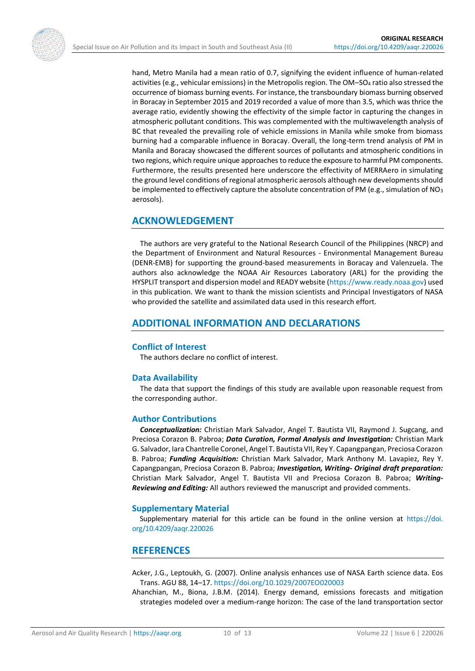hand, Metro Manila had a mean ratio of 0.7, signifying the evident influence of human-related activities (e.g., vehicular emissions) in the Metropolis region. The OM–SO<sup>4</sup> ratio also stressed the occurrence of biomass burning events. For instance, the transboundary biomass burning observed in Boracay in September 2015 and 2019 recorded a value of more than 3.5, which was thrice the average ratio, evidently showing the effectivity of the simple factor in capturing the changes in atmospheric pollutant conditions. This was complemented with the multiwavelength analysis of BC that revealed the prevailing role of vehicle emissions in Manila while smoke from biomass burning had a comparable influence in Boracay. Overall, the long-term trend analysis of PM in Manila and Boracay showcased the different sources of pollutants and atmospheric conditions in two regions, which require unique approaches to reduce the exposure to harmful PM components. Furthermore, the results presented here underscore the effectivity of MERRAero in simulating the ground level conditions of regional atmospheric aerosols although new developments should be implemented to effectively capture the absolute concentration of PM (e.g., simulation of NO<sub>3</sub> aerosols).

# **ACKNOWLEDGEMENT**

The authors are very grateful to the National Research Council of the Philippines (NRCP) and the Department of Environment and Natural Resources - Environmental Management Bureau (DENR-EMB) for supporting the ground-based measurements in Boracay and Valenzuela. The authors also acknowledge the NOAA Air Resources Laboratory (ARL) for the providing the HYSPLIT transport and dispersion model and READY website [\(https://www.ready.noaa.gov\)](https://www.ready.noaa.gov/) used in this publication. We want to thank the mission scientists and Principal Investigators of NASA who provided the satellite and assimilated data used in this research effort.

## **ADDITIONAL INFORMATION AND DECLARATIONS**

#### **Conflict of Interest**

The authors declare no conflict of interest.

#### **Data Availability**

The data that support the findings of this study are available upon reasonable request from the corresponding author.

#### **Author Contributions**

*Conceptualization:* Christian Mark Salvador, Angel T. Bautista VII, Raymond J. Sugcang, and Preciosa Corazon B. Pabroa; *Data Curation, Formal Analysis and Investigation:* Christian Mark G. Salvador, Iara Chantrelle Coronel, Angel T. Bautista VII, Rey Y. Capangpangan, Preciosa Corazon B. Pabroa; *Funding Acquisition:* Christian Mark Salvador, Mark Anthony M. Lavapiez, Rey Y. Capangpangan, Preciosa Corazon B. Pabroa; *Investigation, Writing- Original draft preparation:* Christian Mark Salvador, Angel T. Bautista VII and Preciosa Corazon B. Pabroa; *Writing-Reviewing and Editing:* All authors reviewed the manuscript and provided comments.

#### **Supplementary Material**

Supplementary material for this article can be found in the online version at [https://doi.](https://doi.org/10.4209/aaqr.220026) [org/10.4209/aaqr.220026](https://doi.org/10.4209/aaqr.220026)

#### **REFERENCES**

- <span id="page-9-1"></span>Acker, J.G., Leptoukh, G. (2007). Online analysis enhances use of NASA Earth science data. Eos Trans. AGU 88, 14–17. <https://doi.org/10.1029/2007EO020003>
- <span id="page-9-0"></span>Ahanchian, M., Biona, J.B.M. (2014). Energy demand, emissions forecasts and mitigation strategies modeled over a medium-range horizon: The case of the land transportation sector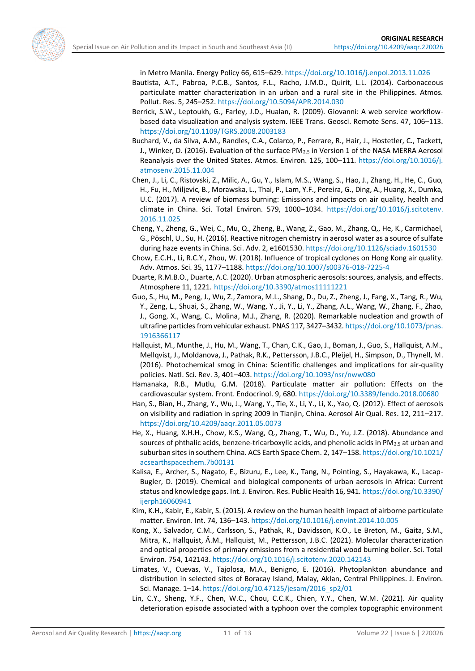

- <span id="page-10-15"></span>Bautista, A.T., Pabroa, P.C.B., Santos, F.L., Racho, J.M.D., Quirit, L.L. (2014). Carbonaceous particulate matter characterization in an urban and a rural site in the Philippines. Atmos. Pollut. Res. 5, 245–252. <https://doi.org/10.5094/APR.2014.030>
- <span id="page-10-12"></span>Berrick, S.W., Leptoukh, G., Farley, J.D., Hualan, R. (2009). Giovanni: A web service workflowbased data visualization and analysis system. IEEE Trans. Geosci. Remote Sens. 47, 106–113. <https://doi.org/10.1109/TGRS.2008.2003183>
- <span id="page-10-10"></span>Buchard, V., da Silva, A.M., Randles, C.A., Colarco, P., Ferrare, R., Hair, J., Hostetler, C., Tackett, J., Winker, D. (2016). Evaluation of the surface PM<sub>2.5</sub> in Version 1 of the NASA MERRA Aerosol Reanalysis over the United States. Atmos. Environ. 125, 100–111. [https://doi.org/10.1016/j.](https://doi.org/10.1016/j.atmosenv.2015.11.004) [atmosenv.2015.11.004](https://doi.org/10.1016/j.atmosenv.2015.11.004)
- <span id="page-10-7"></span>Chen, J., Li, C., Ristovski, Z., Milic, A., Gu, Y., Islam, M.S., Wang, S., Hao, J., Zhang, H., He, C., Guo, H., Fu, H., Miljevic, B., Morawska, L., Thai, P., Lam, Y.F., Pereira, G., Ding, A., Huang, X., Dumka, U.C. (2017). A review of biomass burning: Emissions and impacts on air quality, health and climate in China. Sci. Total Environ. 579, 1000–1034. [https://doi.org/10.1016/j.scitotenv.](https://doi.org/10.1016/j.scitotenv.2016.11.025) [2016.11.025](https://doi.org/10.1016/j.scitotenv.2016.11.025)
- <span id="page-10-16"></span>Cheng, Y., Zheng, G., Wei, C., Mu, Q., Zheng, B., Wang, Z., Gao, M., Zhang, Q., He, K., Carmichael, G., Pöschl, U., Su, H. (2016). Reactive nitrogen chemistry in aerosol water as a source of sulfate during haze events in China. Sci. Adv. 2, e1601530. <https://doi.org/10.1126/sciadv.1601530>
- <span id="page-10-13"></span>Chow, E.C.H., Li, R.C.Y., Zhou, W. (2018). Influence of tropical cyclones on Hong Kong air quality. Adv. Atmos. Sci. 35, 1177–1188. <https://doi.org/10.1007/s00376-018-7225-4>
- <span id="page-10-5"></span>Duarte, R.M.B.O., Duarte, A.C. (2020). Urban atmospheric aerosols: sources, analysis, and effects. Atmosphere 11, 1221. <https://doi.org/10.3390/atmos11111221>
- <span id="page-10-6"></span>Guo, S., Hu, M., Peng, J., Wu, Z., Zamora, M.L., Shang, D., Du, Z., Zheng, J., Fang, X., Tang, R., Wu, Y., Zeng, L., Shuai, S., Zhang, W., Wang, Y., Ji, Y., Li, Y., Zhang, A.L., Wang, W., Zhang, F., Zhao, J., Gong, X., Wang, C., Molina, M.J., Zhang, R. (2020). Remarkable nucleation and growth of ultrafine particles from vehicular exhaust. PNAS 117, 3427–3432[. https://doi.org/10.1073/pnas.](https://doi.org/10.1073/pnas.1916366117) [1916366117](https://doi.org/10.1073/pnas.1916366117)
- <span id="page-10-3"></span>Hallquist, M., Munthe, J., Hu, M., Wang, T., Chan, C.K., Gao, J., Boman, J., Guo, S., Hallquist, A.M., Mellqvist, J., Moldanova, J., Pathak, R.K., Pettersson, J.B.C., Pleijel, H., Simpson, D., Thynell, M. (2016). Photochemical smog in China: Scientific challenges and implications for air-quality policies. Natl. Sci. Rev. 3, 401–403. <https://doi.org/10.1093/nsr/nww080>
- <span id="page-10-0"></span>Hamanaka, R.B., Mutlu, G.M. (2018). Particulate matter air pollution: Effects on the cardiovascular system. Front. Endocrinol. 9, 680. <https://doi.org/10.3389/fendo.2018.00680>
- <span id="page-10-2"></span>Han, S., Bian, H., Zhang, Y., Wu, J., Wang, Y., Tie, X., Li, Y., Li, X., Yao, Q. (2012). Effect of aerosols on visibility and radiation in spring 2009 in Tianjin, China. Aerosol Air Qual. Res. 12, 211–217. <https://doi.org/10.4209/aaqr.2011.05.0073>
- <span id="page-10-9"></span>He, X., Huang, X.H.H., Chow, K.S., Wang, Q., Zhang, T., Wu, D., Yu, J.Z. (2018). Abundance and sources of phthalic acids, benzene-tricarboxylic acids, and phenolic acids in  $PM_{2.5}$  at urban and suburban sites in southern China. ACS Earth Space Chem. 2, 147–158. [https://doi.org/10.1021/](https://doi.org/10.1021/acsearthspacechem.7b00131) [acsearthspacechem.7b00131](https://doi.org/10.1021/acsearthspacechem.7b00131)
- <span id="page-10-4"></span>Kalisa, E., Archer, S., Nagato, E., Bizuru, E., Lee, K., Tang, N., Pointing, S., Hayakawa, K., Lacap-Bugler, D. (2019). Chemical and biological components of urban aerosols in Africa: Current status and knowledge gaps. Int. J. Environ. Res. Public Health 16, 941. [https://doi.org/10.3390/](https://doi.org/10.3390/ijerph16060941) [ijerph16060941](https://doi.org/10.3390/ijerph16060941)
- <span id="page-10-1"></span>Kim, K.H., Kabir, E., Kabir, S. (2015). A review on the human health impact of airborne particulate matter. Environ. Int. 74, 136–143. <https://doi.org/10.1016/j.envint.2014.10.005>
- <span id="page-10-8"></span>Kong, X., Salvador, C.M., Carlsson, S., Pathak, R., Davidsson, K.O., Le Breton, M., Gaita, S.M., Mitra, K., Hallquist, Å.M., Hallquist, M., Pettersson, J.B.C. (2021). Molecular characterization and optical properties of primary emissions from a residential wood burning boiler. Sci. Total Environ. 754, 142143. <https://doi.org/10.1016/j.scitotenv.2020.142143>
- <span id="page-10-11"></span>Limates, V., Cuevas, V., Tajolosa, M.A., Benigno, E. (2016). Phytoplankton abundance and distribution in selected sites of Boracay Island, Malay, Aklan, Central Philippines. J. Environ. Sci. Manage. 1–14. [https://doi.org/10.47125/jesam/2016\\_sp2/01](https://doi.org/10.47125/jesam/2016_sp2/01)
- <span id="page-10-14"></span>Lin, C.Y., Sheng, Y.F., Chen, W.C., Chou, C.C.K., Chien, Y.Y., Chen, W.M. (2021). Air quality deterioration episode associated with a typhoon over the complex topographic environment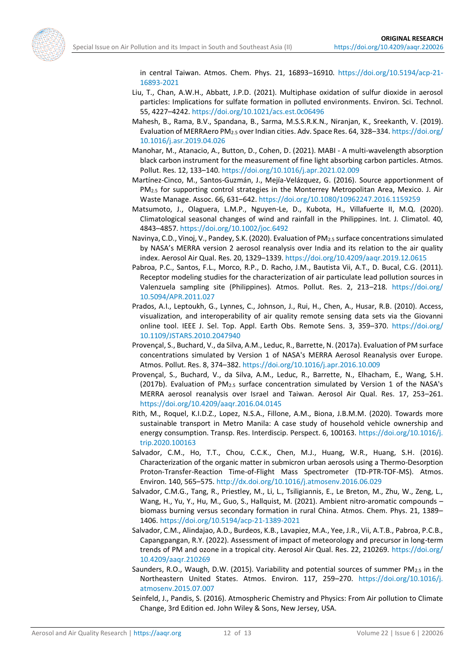<span id="page-11-14"></span><span id="page-11-5"></span>

in central Taiwan. Atmos. Chem. Phys. 21, 16893–16910. [https://doi.org/10.5194/acp-21-](https://doi.org/10.5194/acp-21-16893-2021) [16893-2021](https://doi.org/10.5194/acp-21-16893-2021)

- Liu, T., Chan, A.W.H., Abbatt, J.P.D. (2021). Multiphase oxidation of sulfur dioxide in aerosol particles: Implications for sulfate formation in polluted environments. Environ. Sci. Technol. 55, 4227–4242. <https://doi.org/10.1021/acs.est.0c06496>
- Mahesh, B., Rama, B.V., Spandana, B., Sarma, M.S.S.R.K.N., Niranjan, K., Sreekanth, V. (2019). Evaluation of MERRAero PM2.5 over Indian cities. Adv. Space Res. 64, 328–334. [https://doi.org/](https://doi.org/10.1016/j.asr.2019.04.026) [10.1016/j.asr.2019.04.026](https://doi.org/10.1016/j.asr.2019.04.026)
- <span id="page-11-15"></span>Manohar, M., Atanacio, A., Button, D., Cohen, D. (2021). MABI - A multi-wavelength absorption black carbon instrument for the measurement of fine light absorbing carbon particles. Atmos. Pollut. Res. 12, 133–140. <https://doi.org/10.1016/j.apr.2021.02.009>
- <span id="page-11-1"></span>Martínez-Cinco, M., Santos-Guzmán, J., Mejía-Velázquez, G. (2016). Source apportionment of PM2.5 for supporting control strategies in the Monterrey Metropolitan Area, Mexico. J. Air Waste Manage. Assoc. 66, 631–642. <https://doi.org/10.1080/10962247.2016.1159259>
- <span id="page-11-13"></span>Matsumoto, J., Olaguera, L.M.P., Nguyen-Le, D., Kubota, H., Villafuerte II, M.Q. (2020). Climatological seasonal changes of wind and rainfall in the Philippines. Int. J. Climatol. 40, 4843–4857. <https://doi.org/10.1002/joc.6492>
- <span id="page-11-6"></span>Navinya, C.D., Vinoj, V., Pandey, S.K. (2020). Evaluation of PM2.5 surface concentrations simulated by NASA's MERRA version 2 aerosol reanalysis over India and its relation to the air quality index. Aerosol Air Qual. Res. 20, 1329–1339. <https://doi.org/10.4209/aaqr.2019.12.0615>
- <span id="page-11-2"></span>Pabroa, P.C., Santos, F.L., Morco, R.P., D. Racho, J.M., Bautista Vii, A.T., D. Bucal, C.G. (2011). Receptor modeling studies for the characterization of air particulate lead pollution sources in Valenzuela sampling site (Philippines). Atmos. Pollut. Res. 2, 213–218. [https://doi.org/](https://doi.org/10.5094/APR.2011.027) [10.5094/APR.2011.027](https://doi.org/10.5094/APR.2011.027)
- <span id="page-11-12"></span>Prados, A.I., Leptoukh, G., Lynnes, C., Johnson, J., Rui, H., Chen, A., Husar, R.B. (2010). Access, visualization, and interoperability of air quality remote sensing data sets via the Giovanni online tool. IEEE J. Sel. Top. Appl. Earth Obs. Remote Sens. 3, 359–370. [https://doi.org/](https://doi.org/10.1109/JSTARS.2010.2047940) [10.1109/JSTARS.2010.2047940](https://doi.org/10.1109/JSTARS.2010.2047940)
- <span id="page-11-7"></span>Provençal, S., Buchard, V., da Silva, A.M., Leduc, R., Barrette, N. (2017a). Evaluation of PM surface concentrations simulated by Version 1 of NASA's MERRA Aerosol Reanalysis over Europe. Atmos. Pollut. Res. 8, 374–382.<https://doi.org/10.1016/j.apr.2016.10.009>
- <span id="page-11-8"></span>Provençal, S., Buchard, V., da Silva, A.M., Leduc, R., Barrette, N., Elhacham, E., Wang, S.H. (2017b). Evaluation of  $PM<sub>2.5</sub>$  surface concentration simulated by Version 1 of the NASA's MERRA aerosol reanalysis over Israel and Taiwan. Aerosol Air Qual. Res. 17, 253–261. <https://doi.org/10.4209/aaqr.2016.04.0145>
- <span id="page-11-11"></span>Rith, M., Roquel, K.I.D.Z., Lopez, N.S.A., Fillone, A.M., Biona, J.B.M.M. (2020). Towards more sustainable transport in Metro Manila: A case study of household vehicle ownership and energy consumption. Transp. Res. Interdiscip. Perspect. 6, 100163. [https://doi.org/10.1016/j.](https://doi.org/10.1016/j.trip.2020.100163) [trip.2020.100163](https://doi.org/10.1016/j.trip.2020.100163)
- <span id="page-11-4"></span>Salvador, C.M., Ho, T.T., Chou, C.C.K., Chen, M.J., Huang, W.R., Huang, S.H. (2016). Characterization of the organic matter in submicron urban aerosols using a Thermo-Desorption Proton-Transfer-Reaction Time-of-Flight Mass Spectrometer (TD-PTR-TOF-MS). Atmos. Environ. 140, 565–575. <http://dx.doi.org/10.1016/j.atmosenv.2016.06.029>
- <span id="page-11-3"></span>Salvador, C.M.G., Tang, R., Priestley, M., Li, L., Tsiligiannis, E., Le Breton, M., Zhu, W., Zeng, L., Wang, H., Yu, Y., Hu, M., Guo, S., Hallquist, M. (2021). Ambient nitro-aromatic compounds – biomass burning versus secondary formation in rural China. Atmos. Chem. Phys. 21, 1389– 1406. <https://doi.org/10.5194/acp-21-1389-2021>
- <span id="page-11-9"></span>Salvador, C.M., Alindajao, A.D., Burdeos, K.B., Lavapiez, M.A., Yee, J.R., Vii, A.T.B., Pabroa, P.C.B., Capangpangan, R.Y. (2022). Assessment of impact of meteorology and precursor in long-term trends of PM and ozone in a tropical city. Aerosol Air Qual. Res. 22, 210269. [https://doi.org/](https://doi.org/10.4209/aaqr.210269) [10.4209/aaqr.210269](https://doi.org/10.4209/aaqr.210269)
- <span id="page-11-10"></span>Saunders, R.O., Waugh, D.W. (2015). Variability and potential sources of summer  $PM_{2.5}$  in the Northeastern United States. Atmos. Environ. 117, 259–270. [https://doi.org/10.1016/j.](https://doi.org/10.1016/j.atmosenv.2015.07.007) [atmosenv.2015.07.007](https://doi.org/10.1016/j.atmosenv.2015.07.007)
- <span id="page-11-0"></span>Seinfeld, J., Pandis, S. (2016). Atmospheric Chemistry and Physics: From Air pollution to Climate Change, 3rd Edition ed. John Wiley & Sons, New Jersey, USA.